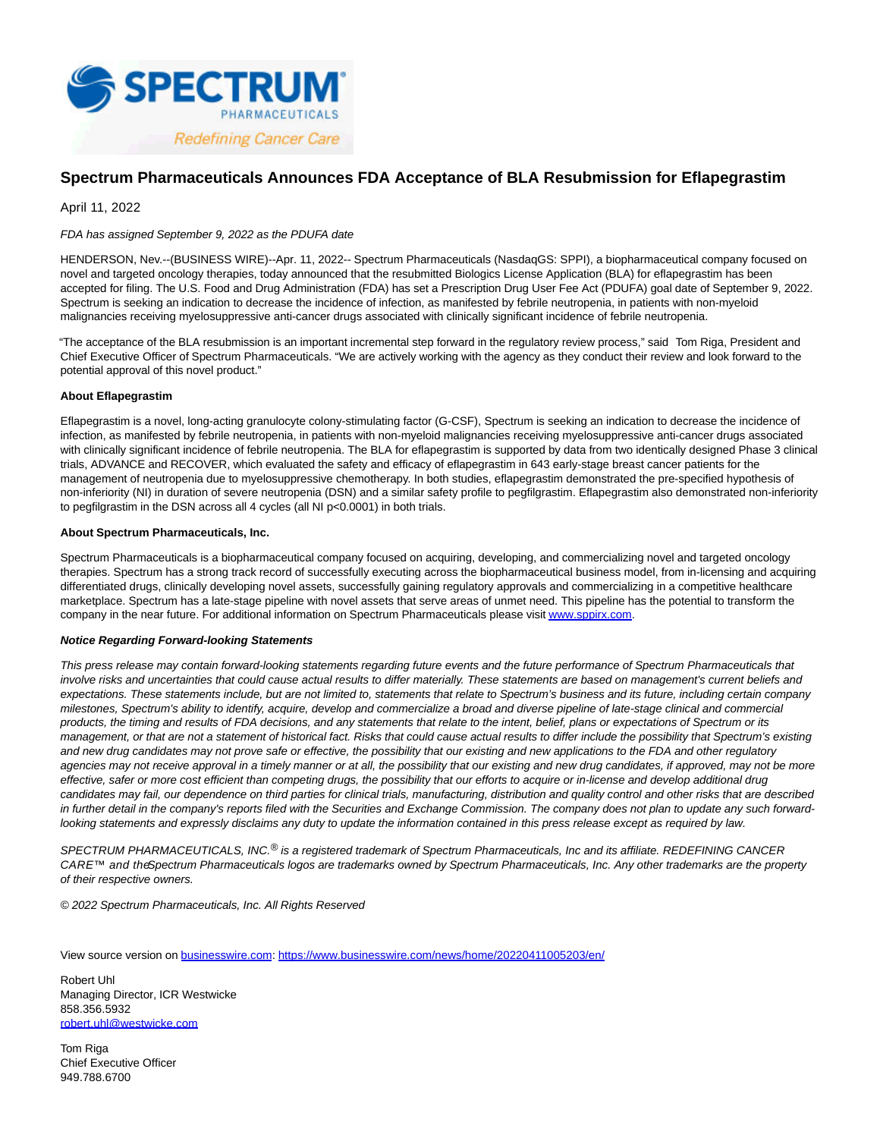

# **Spectrum Pharmaceuticals Announces FDA Acceptance of BLA Resubmission for Eflapegrastim**

April 11, 2022

## FDA has assigned September 9, 2022 as the PDUFA date

HENDERSON, Nev.--(BUSINESS WIRE)--Apr. 11, 2022-- Spectrum Pharmaceuticals (NasdaqGS: SPPI), a biopharmaceutical company focused on novel and targeted oncology therapies, today announced that the resubmitted Biologics License Application (BLA) for eflapegrastim has been accepted for filing. The U.S. Food and Drug Administration (FDA) has set a Prescription Drug User Fee Act (PDUFA) goal date of September 9, 2022. Spectrum is seeking an indication to decrease the incidence of infection, as manifested by febrile neutropenia, in patients with non-myeloid malignancies receiving myelosuppressive anti-cancer drugs associated with clinically significant incidence of febrile neutropenia.

"The acceptance of the BLA resubmission is an important incremental step forward in the regulatory review process," said Tom Riga, President and Chief Executive Officer of Spectrum Pharmaceuticals. "We are actively working with the agency as they conduct their review and look forward to the potential approval of this novel product."

## **About Eflapegrastim**

Eflapegrastim is a novel, long-acting granulocyte colony-stimulating factor (G-CSF), Spectrum is seeking an indication to decrease the incidence of infection, as manifested by febrile neutropenia, in patients with non-myeloid malignancies receiving myelosuppressive anti-cancer drugs associated with clinically significant incidence of febrile neutropenia. The BLA for eflapegrastim is supported by data from two identically designed Phase 3 clinical trials, ADVANCE and RECOVER, which evaluated the safety and efficacy of eflapegrastim in 643 early-stage breast cancer patients for the management of neutropenia due to myelosuppressive chemotherapy. In both studies, eflapegrastim demonstrated the pre-specified hypothesis of non-inferiority (NI) in duration of severe neutropenia (DSN) and a similar safety profile to pegfilgrastim. Eflapegrastim also demonstrated non-inferiority to pegfilgrastim in the DSN across all 4 cycles (all NI p<0.0001) in both trials.

### **About Spectrum Pharmaceuticals, Inc.**

Spectrum Pharmaceuticals is a biopharmaceutical company focused on acquiring, developing, and commercializing novel and targeted oncology therapies. Spectrum has a strong track record of successfully executing across the biopharmaceutical business model, from in-licensing and acquiring differentiated drugs, clinically developing novel assets, successfully gaining regulatory approvals and commercializing in a competitive healthcare marketplace. Spectrum has a late-stage pipeline with novel assets that serve areas of unmet need. This pipeline has the potential to transform the company in the near future. For additional information on Spectrum Pharmaceuticals please visit [www.sppirx.com.](https://cts.businesswire.com/ct/CT?id=smartlink&url=http%3A%2F%2Fwww.sppirx.com&esheet=52673978&newsitemid=20220411005203&lan=en-US&anchor=www.sppirx.com&index=1&md5=e0bac9df12b373cf0e5bb35af506367a)

### **Notice Regarding Forward-looking Statements**

This press release may contain forward-looking statements regarding future events and the future performance of Spectrum Pharmaceuticals that involve risks and uncertainties that could cause actual results to differ materially. These statements are based on management's current beliefs and expectations. These statements include, but are not limited to, statements that relate to Spectrum's business and its future, including certain company milestones, Spectrum's ability to identify, acquire, develop and commercialize a broad and diverse pipeline of late-stage clinical and commercial products, the timing and results of FDA decisions, and any statements that relate to the intent, belief, plans or expectations of Spectrum or its management, or that are not a statement of historical fact. Risks that could cause actual results to differ include the possibility that Spectrum's existing and new drug candidates may not prove safe or effective, the possibility that our existing and new applications to the FDA and other regulatory agencies may not receive approval in a timely manner or at all, the possibility that our existing and new drug candidates, if approved, may not be more effective, safer or more cost efficient than competing drugs, the possibility that our efforts to acquire or in-license and develop additional drug candidates may fail, our dependence on third parties for clinical trials, manufacturing, distribution and quality control and other risks that are described in further detail in the company's reports filed with the Securities and Exchange Commission. The company does not plan to update any such forwardlooking statements and expressly disclaims any duty to update the information contained in this press release except as required by law.

SPECTRUM PHARMACEUTICALS, INC.<sup>®</sup> is a registered trademark of Spectrum Pharmaceuticals, Inc and its affiliate. REDEFINING CANCER CARE™ and the Spectrum Pharmaceuticals logos are trademarks owned by Spectrum Pharmaceuticals, Inc. Any other trademarks are the property of their respective owners.

© 2022 Spectrum Pharmaceuticals, Inc. All Rights Reserved

View source version on [businesswire.com:](http://businesswire.com/)<https://www.businesswire.com/news/home/20220411005203/en/>

Robert Uhl Managing Director, ICR Westwicke 858.356.5932 [robert.uhl@westwicke.com](mailto:robert.uhl@westwicke.com)

Tom Riga Chief Executive Officer 949.788.6700